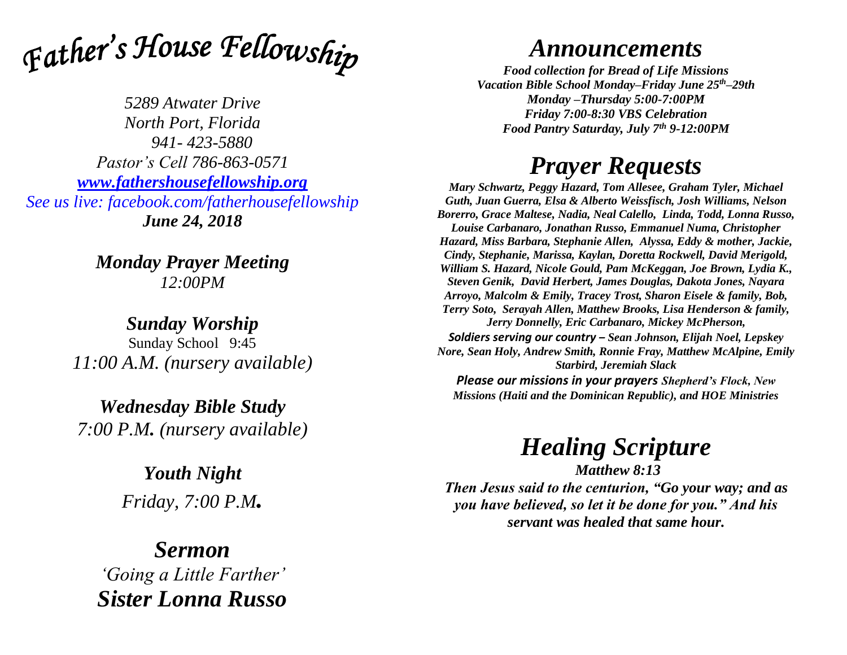

*5289 Atwater Drive North Port, Florida 941- 423-5880 Pastor's Cell 786-863-0571 [www.fathershousefellowship.org](http://www.fathershousefellowship.org/) See us live: facebook.com/fatherhousefellowship June 24, 2018*

> *Monday Prayer Meeting 12:00PM*

*Sunday Worship* Sunday School 9:45 *11:00 A.M. (nursery available)*

*Wednesday Bible Study 7:00 P.M. (nursery available)*

> *Youth Night Friday, 7:00 P.M.*

*Sermon 'Going a Little Farther' Sister Lonna Russo*

## *Announcements*

*Food collection for Bread of Life Missions Vacation Bible School Monday–Friday June 25th–29th Monday –Thursday 5:00-7:00PM Friday 7:00-8:30 VBS Celebration Food Pantry Saturday, July 7th 9-12:00PM*

## *Prayer Requests*

*Mary Schwartz, Peggy Hazard, Tom Allesee, Graham Tyler, Michael Guth, Juan Guerra, Elsa & Alberto Weissfisch, Josh Williams, Nelson Borerro, Grace Maltese, Nadia, Neal Calello, Linda, Todd, Lonna Russo, Louise Carbanaro, Jonathan Russo, Emmanuel Numa, Christopher Hazard, Miss Barbara, Stephanie Allen, Alyssa, Eddy & mother, Jackie, Cindy, Stephanie, Marissa, Kaylan, Doretta Rockwell, David Merigold, William S. Hazard, Nicole Gould, Pam McKeggan, Joe Brown, Lydia K., Steven Genik, David Herbert, James Douglas, Dakota Jones, Nayara Arroyo, Malcolm & Emily, Tracey Trost, Sharon Eisele & family, Bob, Terry Soto, Serayah Allen, Matthew Brooks, Lisa Henderson & family, Jerry Donnelly, Eric Carbanaro, Mickey McPherson, Soldiers serving our country – Sean Johnson, Elijah Noel, Lepskey Nore, Sean Holy, Andrew Smith, Ronnie Fray, Matthew McAlpine, Emily Starbird, Jeremiah Slack*

*Please our missions in your prayers Shepherd's Flock, New Missions (Haiti and the Dominican Republic), and HOE Ministries*

## *Healing Scripture*

*Matthew 8:13 Then Jesus said to the centurion, "Go your way; and as you have believed, so let it be done for you." And his servant was healed that same hour.*